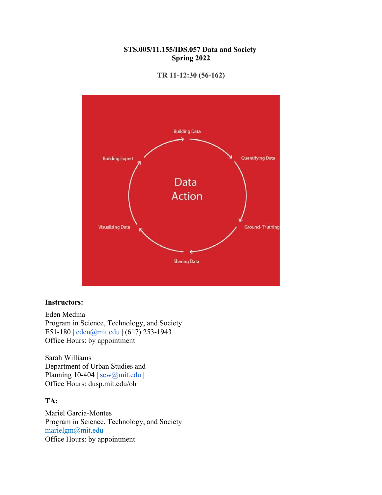## **STS.005/11.155/IDS.057 Data and Society Spring 2022**



**TR 11-12:30 (56-162)**

#### **Instructors:**

Eden Medina Program in Science, Technology, and Society E51-180 | eden@mit.edu | (617) 253-1943 Office Hours: by appointment

Sarah Williams Department of Urban Studies and Planning 10-404 | sew@mit.edu | Office Hours: dusp.mit.edu/oh

### **TA:**

Mariel García-Montes Program in Science, Technology, and Society marielgm@mit.edu Office Hours: by appointment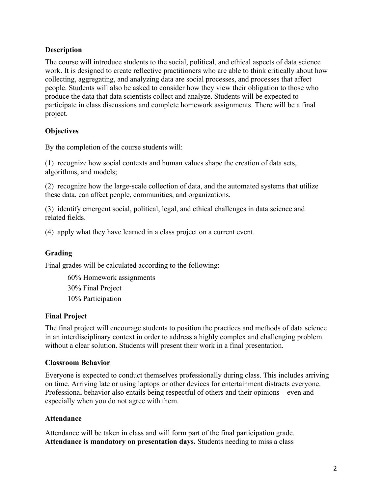## **Description**

The course will introduce students to the social, political, and ethical aspects of data science work. It is designed to create reflective practitioners who are able to think critically about how collecting, aggregating, and analyzing data are social processes, and processes that affect people. Students will also be asked to consider how they view their obligation to those who produce the data that data scientists collect and analyze. Students will be expected to participate in class discussions and complete homework assignments. There will be a final project.

# **Objectives**

By the completion of the course students will:

(1) recognize how social contexts and human values shape the creation of data sets, algorithms, and models;

(2) recognize how the large-scale collection of data, and the automated systems that utilize these data, can affect people, communities, and organizations.

(3) identify emergent social, political, legal, and ethical challenges in data science and related fields.

(4) apply what they have learned in a class project on a current event.

# **Grading**

Final grades will be calculated according to the following:

60% Homework assignments 30% Final Project 10% Participation

## **Final Project**

The final project will encourage students to position the practices and methods of data science in an interdisciplinary context in order to address a highly complex and challenging problem without a clear solution. Students will present their work in a final presentation.

## **Classroom Behavior**

Everyone is expected to conduct themselves professionally during class. This includes arriving on time. Arriving late or using laptops or other devices for entertainment distracts everyone. Professional behavior also entails being respectful of others and their opinions—even and especially when you do not agree with them.

## **Attendance**

Attendance will be taken in class and will form part of the final participation grade. **Attendance is mandatory on presentation days.** Students needing to miss a class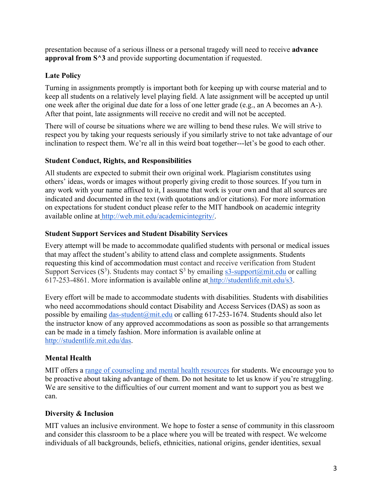presentation because of a serious illness or a personal tragedy will need to receive **advance approval from S^3** and provide supporting documentation if requested.

# **Late Policy**

Turning in assignments promptly is important both for keeping up with course material and to keep all students on a relatively level playing field. A late assignment will be accepted up until one week after the original due date for a loss of one letter grade (e.g., an A becomes an A-). After that point, late assignments will receive no credit and will not be accepted.

There will of course be situations where we are willing to bend these rules. We will strive to respect you by taking your requests seriously if you similarly strive to not take advantage of our inclination to respect them. We're all in this weird boat together---let's be good to each other.

## **Student Conduct, Rights, and Responsibilities**

All students are expected to submit their own original work. Plagiarism constitutes using others' ideas, words or images without properly giving credit to those sources. If you turn in any work with your name affixed to it, I assume that work is your own and that all sources are indicated and documented in the text (with quotations and/or citations). For more information on expectations for student conduct please refer to the MIT handbook on academic integrity available online at http://web.mit.edu/academicintegrity/.

## **Student Support Services and Student Disability Services**

Every attempt will be made to accommodate qualified students with personal or medical issues that may affect the student's ability to attend class and complete assignments. Students requesting this kind of accommodation must contact and receive verification from Student Support Services (S<sup>3</sup>). Students may contact S<sup>3</sup> by emailing  $s3$ -support@mit.edu or calling 617-253-4861. More information is available online at http://studentlife.mit.edu/s3.

Every effort will be made to accommodate students with disabilities. Students with disabilities who need accommodations should contact Disability and Access Services (DAS) as soon as possible by emailing das-student@mit.edu or calling  $617-253-1674$ . Students should also let the instructor know of any approved accommodations as soon as possible so that arrangements can be made in a timely fashion. More information is available online at http://studentlife.mit.edu/das.

# **Mental Health**

MIT offers a range of counseling and mental health resources for students. We encourage you to be proactive about taking advantage of them. Do not hesitate to let us know if you're struggling. We are sensitive to the difficulties of our current moment and want to support you as best we can.

# **Diversity & Inclusion**

MIT values an inclusive environment. We hope to foster a sense of community in this classroom and consider this classroom to be a place where you will be treated with respect. We welcome individuals of all backgrounds, beliefs, ethnicities, national origins, gender identities, sexual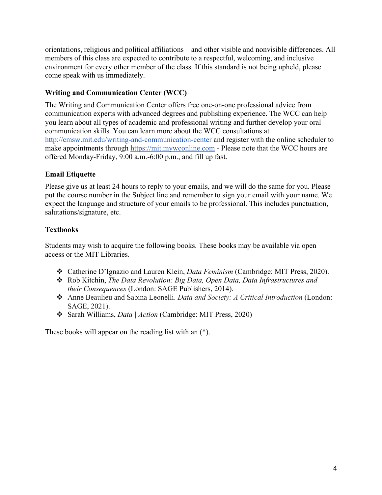orientations, religious and political affiliations – and other visible and nonvisible differences. All members of this class are expected to contribute to a respectful, welcoming, and inclusive environment for every other member of the class. If this standard is not being upheld, please come speak with us immediately.

# **Writing and Communication Center (WCC)**

The Writing and Communication Center offers free one-on-one professional advice from communication experts with advanced degrees and publishing experience. The WCC can help you learn about all types of academic and professional writing and further develop your oral communication skills. You can learn more about the WCC consultations at http://cmsw.mit.edu/writing-and-communication-center and register with the online scheduler to make appointments through https://mit.mywconline.com - Please note that the WCC hours are offered Monday-Friday, 9:00 a.m.-6:00 p.m., and fill up fast.

# **Email Etiquette**

Please give us at least 24 hours to reply to your emails, and we will do the same for you. Please put the course number in the Subject line and remember to sign your email with your name. We expect the language and structure of your emails to be professional. This includes punctuation, salutations/signature, etc.

# **Textbooks**

Students may wish to acquire the following books. These books may be available via open access or the MIT Libraries.

- v Catherine D'Ignazio and Lauren Klein, *Data Feminism* (Cambridge: MIT Press, 2020).
- \* Rob Kitchin, *The Data Revolution: Big Data, Open Data, Data Infrastructures and their Consequences* (London: SAGE Publishers, 2014).
- v Anne Beaulieu and Sabina Leonelli. *Data and Society: A Critical Introduction* (London: SAGE, 2021).
- v Sarah Williams, *Data | Action* (Cambridge: MIT Press, 2020)

These books will appear on the reading list with an (\*).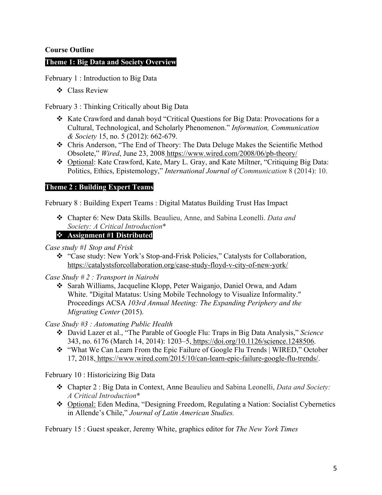### **Course Outline**

#### **Theme 1: Big Data and Society Overview**

February 1 : Introduction to Big Data

❖ Class Review

February 3 : Thinking Critically about Big Data

- v Kate Crawford and danah boyd "Critical Questions for Big Data: Provocations for a Cultural, Technological, and Scholarly Phenomenon." *Information, Communication & Society* 15, no. 5 (2012): 662-679.
- v Chris Anderson, "The End of Theory: The Data Deluge Makes the Scientific Method Obsolete," *Wired*, June 23, 2008 https://www.wired.com/2008/06/pb-theory/
- v Optional: Kate Crawford, Kate, Mary L. Gray, and Kate Miltner, "Critiquing Big Data: Politics, Ethics, Epistemology," *International Journal of Communication* 8 (2014): 10.

#### **Theme 2 : Building Expert Teams**

February 8 : Building Expert Teams : Digital Matatus Building Trust Has Impact

v Chapter 6: New Data Skills. Beaulieu, Anne, and Sabina Leonelli. *Data and Society: A Critical Introduction*\*

#### v **Assignment #1 Distributed**

- *Case study #1 Stop and Frisk*
	- v "Case study: New York's Stop-and-Frisk Policies," Catalysts for Collaboration, https://catalystsforcollaboration.org/case-study-floyd-v-city-of-new-york/
- *Case Study # 2 : Transport in Nairobi*
	- ◆ Sarah Williams, Jacqueline Klopp, Peter Waiganjo, Daniel Orwa, and Adam White. "Digital Matatus: Using Mobile Technology to Visualize Informality." Proceedings ACSA *103rd Annual Meeting: The Expanding Periphery and the Migrating Center* (2015).

*Case Study #3 : Automating Public Health*

- v David Lazer et al., "The Parable of Google Flu: Traps in Big Data Analysis," *Science*  343, no. 6176 (March 14, 2014): 1203–5, https://doi.org/10.1126/science.1248506.
- v "What We Can Learn From the Epic Failure of Google Flu Trends | WIRED," October 17, 2018, https://www.wired.com/2015/10/can-learn-epic-failure-google-flu-trends/.

February 10 : Historicizing Big Data

- v Chapter 2 : Big Data in Context, Anne Beaulieu and Sabina Leonelli, *Data and Society: A Critical Introduction*\*
- v Optional: Eden Medina, "Designing Freedom, Regulating a Nation: Socialist Cybernetics in Allende's Chile," *Journal of Latin American Studies.*

February 15 : Guest speaker, Jeremy White, graphics editor for *The New York Times*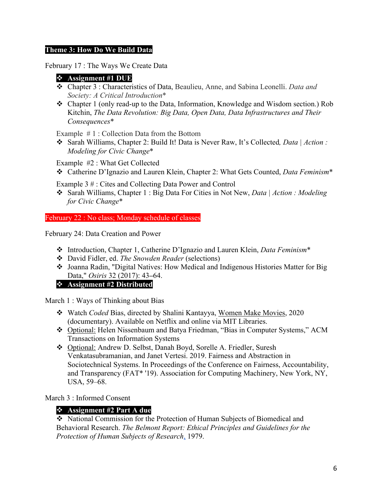### **Theme 3: How Do We Build Data**

February 17 : The Ways We Create Data

## v **Assignment #1 DUE**

- v Chapter 3 : Characteristics of Data, Beaulieu, Anne, and Sabina Leonelli. *Data and Society: A Critical Introduction*\*
- v Chapter 1 (only read-up to the Data, Information, Knowledge and Wisdom section.) Rob Kitchin, *The Data Revolution: Big Data, Open Data, Data Infrastructures and Their Consequences*\*

Example # 1 : Collection Data from the Bottom

v Sarah Williams, Chapter 2: Build It! Data is Never Raw, It's Collected*, Data | Action : Modeling for Civic Change*\*

Example #2 : What Get Collected

v Catherine D'Ignazio and Lauren Klein, Chapter 2: What Gets Counted, *Data Feminism*\*

Example 3 # : Cites and Collecting Data Power and Control

v Sarah Williams, Chapter 1 : Big Data For Cities in Not New, *Data | Action : Modeling for Civic Change*\*

February 22 : No class; Monday schedule of classes

February 24: Data Creation and Power

- v Introduction, Chapter 1, Catherine D'Ignazio and Lauren Klein, *Data Feminism*\*
- v David Fidler, ed. *The Snowden Reader* (selections)
- v Joanna Radin, "Digital Natives: How Medical and Indigenous Histories Matter for Big Data," *Osiris* 32 (2017): 43**–**64.

## v **Assignment #2 Distributed**

March 1 : Ways of Thinking about Bias

- v Watch *Coded* Bias, directed by Shalini Kantayya, Women Make Movies, 2020 (documentary). Available on Netflix and online via MIT Libraries.
- v Optional: Helen Nissenbaum and Batya Friedman, "Bias in Computer Systems," ACM Transactions on Information Systems
- v Optional: Andrew D. Selbst, Danah Boyd, Sorelle A. Friedler, Suresh Venkatasubramanian, and Janet Vertesi. 2019. Fairness and Abstraction in Sociotechnical Systems. In Proceedings of the Conference on Fairness, Accountability, and Transparency (FAT\* '19). Association for Computing Machinery, New York, NY, USA, 59–68.

March 3 : Informed Consent

## v **Assignment #2 Part A due**

• National Commission for the Protection of Human Subjects of Biomedical and Behavioral Research. *The Belmont Report: Ethical Principles and Guidelines for the Protection of Human Subjects of Research*, 1979.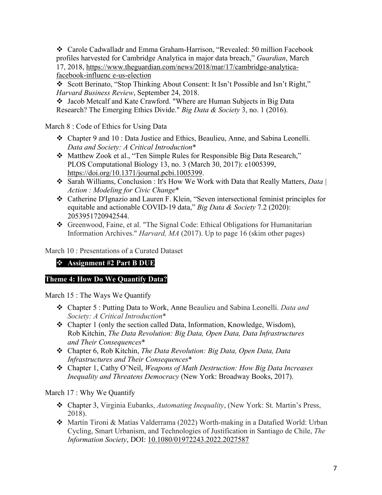v Carole Cadwalladr and Emma Graham-Harrison, "Revealed: 50 million Facebook profiles harvested for Cambridge Analytica in major data breach," *Guardian*, March 17, 2018, https://www.theguardian.com/news/2018/mar/17/cambridge-analyticafacebook-influenc e-us-election

v Scott Berinato, "Stop Thinking About Consent: It Isn't Possible and Isn't Right," *Harvard Business Review*, September 24, 2018.

v Jacob Metcalf and Kate Crawford. "Where are Human Subjects in Big Data Research? The Emerging Ethics Divide." *Big Data & Society* 3, no. 1 (2016).

March 8 : Code of Ethics for Using Data

- v Chapter 9 and 10 : Data Justice and Ethics, Beaulieu, Anne, and Sabina Leonelli. *Data and Society: A Critical Introduction*\*
- v Matthew Zook et al., "Ten Simple Rules for Responsible Big Data Research," PLOS Computational Biology 13, no. 3 (March 30, 2017): e1005399, https://doi.org/10.1371/journal.pcbi.1005399.
- v Sarah Williams, Conclusion : It's How We Work with Data that Really Matters, *Data | Action : Modeling for Civic Change*\*
- v Catherine D'Ignazio and Lauren F. Klein, "Seven intersectional feminist principles for equitable and actionable COVID-19 data," *Big Data & Society* 7.2 (2020): 2053951720942544.
- v Greenwood, Faine, et al. "The Signal Code: Ethical Obligations for Humanitarian Information Archives." *Harvard, MA* (2017). Up to page 16 (skim other pages)

March 10 : Presentations of a Curated Dataset

# v **Assignment #2 Part B DUE**

# **Theme 4: How Do We Quantify Data?**

March 15 : The Ways We Quantify

- v Chapter 5 : Putting Data to Work, Anne Beaulieu and Sabina Leonelli. *Data and Society: A Critical Introduction*\*
- $\triangleleft$  Chapter 1 (only the section called Data, Information, Knowledge, Wisdom), Rob Kitchin, *The Data Revolution: Big Data, Open Data, Data Infrastructures and Their Consequences*\*
- v Chapter 6, Rob Kitchin, *The Data Revolution: Big Data, Open Data, Data Infrastructures and Their Consequences*\*
- v Chapter 1, Cathy O'Neil, *Weapons of Math Destruction: How Big Data Increases Inequality and Threatens Democracy* (New York: Broadway Books, 2017).

March 17 : Why We Quantify

- v Chapter 3, Virginia Eubanks, *Automating Inequality*, (New York: St. Martin's Press, 2018).
- v Martín Tironi & Matías Valderrama (2022) Worth-making in a Datafied World: Urban Cycling, Smart Urbanism, and Technologies of Justification in Santiago de Chile, *The Information Society*, DOI: 10.1080/01972243.2022.2027587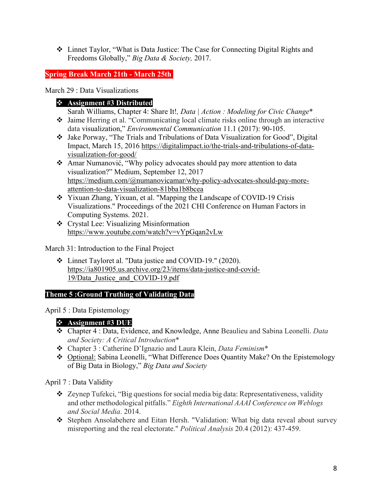v Linnet Taylor, "What is Data Justice: The Case for Connecting Digital Rights and Freedoms Globally," *Big Data & Society,* 2017.

**Spring Break March 21th - March 25th**

March 29 : Data Visualizations

## v **Assignment #3 Distributed**

Sarah Williams, Chapter 4: Share It!, *Data | Action : Modeling for Civic Change*<sup>\*</sup>

- v Jaime Herring et al. "Communicating local climate risks online through an interactive data visualization," *Environmental Communication* 11.1 (2017): 90-105.
- v Jake Porway, "The Trials and Tribulations of Data Visualization for Good", Digital Impact, March 15, 2016 https://digitalimpact.io/the-trials-and-tribulations-of-datavisualization-for-good/
- \* Amar Numanović, "Why policy advocates should pay more attention to data visualization?" Medium, September 12, 2017 https://medium.com/@numanovicamar/why-policy-advocates-should-pay-moreattention-to-data-visualization-81bba1b8bcea
- \* Yixuan Zhang, Yixuan, et al. "Mapping the Landscape of COVID-19 Crisis Visualizations." Proceedings of the 2021 CHI Conference on Human Factors in Computing Systems. 2021.
- $\triangleleft$  Crystal Lee: Visualizing Misinformation https://www.youtube.com/watch?v=vYpGqan2vLw

March 31: Introduction to the Final Project

v Linnet Tayloret al. "Data justice and COVID-19." (2020). https://ia801905.us.archive.org/23/items/data-justice-and-covid-19/Data\_Justice\_and\_COVID-19.pdf

## **Theme 5 :Ground Truthing of Validating Data**

April 5 : Data Epistemology

# v **Assignment #3 DUE**

- v Chapter 4 : Data, Evidence, and Knowledge, Anne Beaulieu and Sabina Leonelli. *Data and Society: A Critical Introduction*\*
- v Chapter 3 : Catherine D'Ignazio and Laura Klein, *Data Feminism*\*
- \* Optional: Sabina Leonelli, "What Difference Does Quantity Make? On the Epistemology of Big Data in Biology," *Big Data and Society*

April 7 : Data Validity

- v Zeynep Tufekci, "Big questions for social media big data: Representativeness, validity and other methodological pitfalls." *Eighth International AAAI Conference on Weblogs and Social Media*. 2014.
- \* Stephen Ansolabehere and Eitan Hersh. "Validation: What big data reveal about survey misreporting and the real electorate." *Political Analysis* 20.4 (2012): 437-459.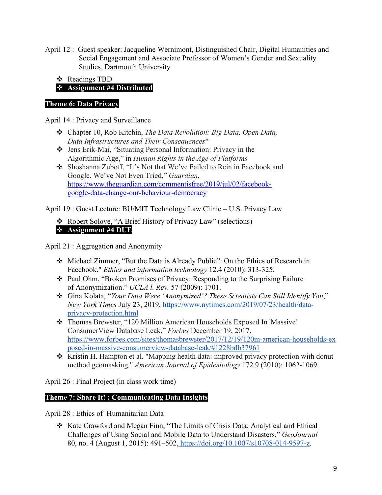April 12 : Guest speaker: Jacqueline Wernimont, Distinguished Chair, Digital Humanities and Social Engagement and Associate Professor of Women's Gender and Sexuality Studies, Dartmouth University

v Readings TBD

v **Assignment #4 Distributed**

# **Theme 6: Data Privacy**

April 14 : Privacy and Surveillance

- v Chapter 10, Rob Kitchin, *The Data Revolution: Big Data, Open Data, Data Infrastructures and Their Consequences*\*
- v Jens Erik-Mai, "Situating Personal Information: Privacy in the Algorithmic Age," in *Human Rights in the Age of Platforms*
- v Shoshanna Zuboff, "It's Not that We've Failed to Rein in Facebook and Google. We've Not Even Tried," *Guardian*, https://www.theguardian.com/commentisfree/2019/jul/02/facebookgoogle-data-change-our-behaviour-democracy

April 19 : Guest Lecture: BU/MIT Technology Law Clinic – U.S. Privacy Law

\* Robert Solove, "A Brief History of Privacy Law" (selections) v **Assignment #4 DUE**

April 21 : Aggregation and Anonymity

- v Michael Zimmer, "But the Data is Already Public": On the Ethics of Research in Facebook." *Ethics and information technology* 12.4 (2010): 313-325.
- v Paul Ohm, "Broken Promises of Privacy: Responding to the Surprising Failure of Anonymization." *UCLA l. Rev.* 57 (2009): 1701.
- v Gina Kolata, "*Your Data Were 'Anonymized'? These Scientists Can Still Identify You*," *New York Times* July 23, 2019, https://www.nytimes.com/2019/07/23/health/dataprivacy-protection.html
- v Thomas Brewster, "120 Million American Households Exposed In 'Massive' ConsumerView Database Leak," *Forbes* December 19, 2017, https://www.forbes.com/sites/thomasbrewster/2017/12/19/120m-american-households-ex posed-in-massive-consumerview-database-leak/#1228bdb37961
- \* Kristin H. Hampton et al. "Mapping health data: improved privacy protection with donut method geomasking." *American Journal of Epidemiology* 172.9 (2010): 1062-1069.

April 26 : Final Project (in class work time)

# **Theme 7: Share It! : Communicating Data Insights**

April 28 : Ethics of Humanitarian Data

v Kate Crawford and Megan Finn, "The Limits of Crisis Data: Analytical and Ethical Challenges of Using Social and Mobile Data to Understand Disasters," *GeoJournal*  80, no. 4 (August 1, 2015): 491–502, https://doi.org/10.1007/s10708-014-9597-z.